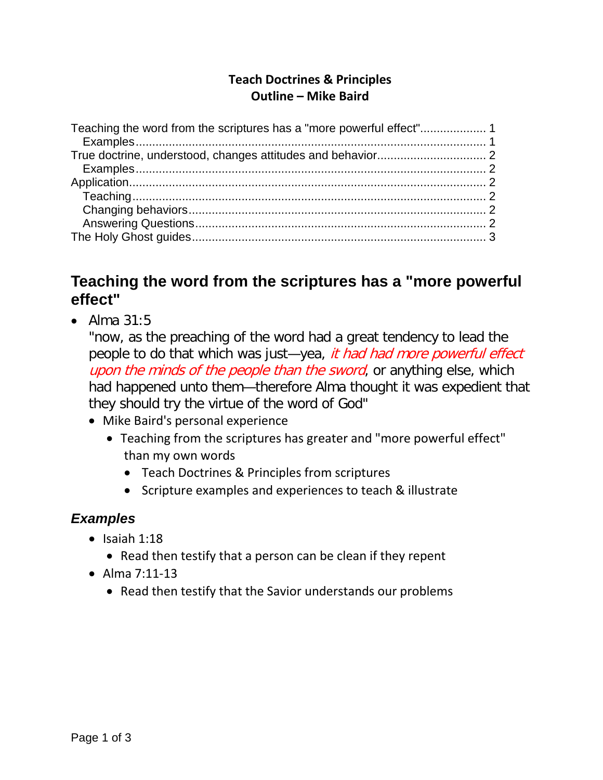### **Teach Doctrines & Principles Outline – Mike Baird**

### <span id="page-0-0"></span>**Teaching the word from the scriptures has a "more powerful effect"**

• Alma 31:5

"now, as the preaching of the word had a great tendency to lead the people to do that which was just—yea, it had had more powerful effect upon the minds of the people than the sword, or anything else, which had happened unto them—therefore Alma thought it was expedient that they should try the virtue of the word of God"

- Mike Baird's personal experience
	- Teaching from the scriptures has greater and "more powerful effect" than my own words
		- Teach Doctrines & Principles from scriptures
		- Scripture examples and experiences to teach & illustrate

#### <span id="page-0-1"></span>*Examples*

- $\bullet$  Isaiah 1:18
	- Read then testify that a person can be clean if they repent
- Alma 7:11-13
	- Read then testify that the Savior understands our problems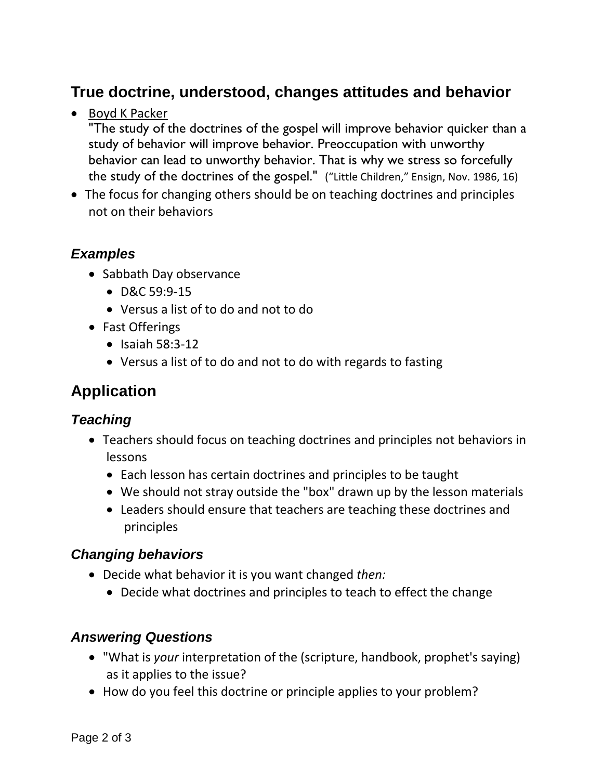## <span id="page-1-0"></span>**True doctrine, understood, changes attitudes and behavior**

• Boyd K Packer

"The study of the doctrines of the gospel will improve behavior quicker than a study of behavior will improve behavior. Preoccupation with unworthy behavior can lead to unworthy behavior. That is why we stress so forcefully the study of the doctrines of the gospel." ("Little Children," Ensign, Nov. 1986, 16)

• The focus for changing others should be on teaching doctrines and principles not on their behaviors

### <span id="page-1-1"></span>*Examples*

- Sabbath Day observance
	- D&C 59:9-15
	- Versus a list of to do and not to do
- Fast Offerings
	- Isaiah 58:3-12
	- Versus a list of to do and not to do with regards to fasting

## <span id="page-1-2"></span>**Application**

### <span id="page-1-3"></span>*Teaching*

- Teachers should focus on teaching doctrines and principles not behaviors in lessons
	- Each lesson has certain doctrines and principles to be taught
	- We should not stray outside the "box" drawn up by the lesson materials
	- Leaders should ensure that teachers are teaching these doctrines and principles

### <span id="page-1-4"></span>*Changing behaviors*

- Decide what behavior it is you want changed *then:*
	- Decide what doctrines and principles to teach to effect the change

### <span id="page-1-5"></span>*Answering Questions*

- "What is *your* interpretation of the (scripture, handbook, prophet's saying) as it applies to the issue?
- How do you feel this doctrine or principle applies to your problem?